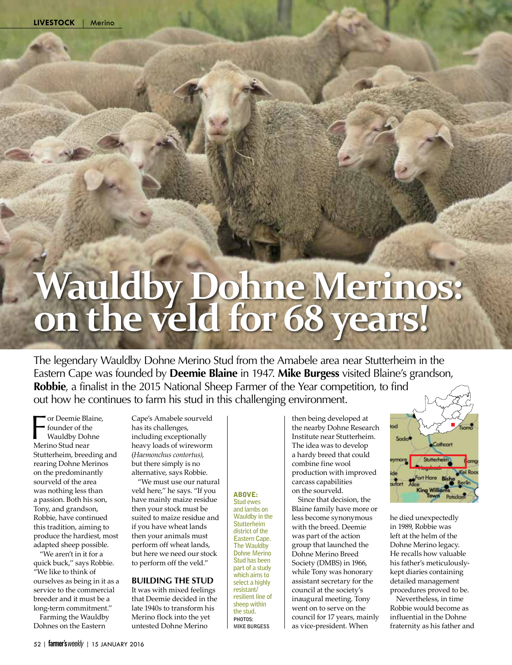# **Wauldby Dohne Merinos: on the veld for 68 years!**

The legendary Wauldby Dohne Merino Stud from the Amabele area near Stutterheim in the Eastern Cape was founded by **Deemie Blaine** in 1947. **Mike Burgess** visited Blaine's grandson, **Robbie**, a finalist in the 2015 National Sheep Farmer of the Year competition, to find out how he continues to farm his stud in this challenging environment.

Therefore Compare of the Wauldby Doh<br>Merino Stud near or Deemie Blaine, founder of the Wauldby Dohne Stutterheim, breeding and rearing Dohne Merinos on the predominantly sourveld of the area was nothing less than a passion. Both his son, Tony, and grandson, Robbie, have continued this tradition, aiming to produce the hardiest, most adapted sheep possible.

"We aren't in it for a quick buck,'' says Robbie. "We like to think of ourselves as being in it as a service to the commercial breeder and it must be a long-term commitment.''

Farming the Wauldby Dohnes on the Eastern

Cape's Amabele sourveld has its challenges, including exceptionally heavy loads of wireworm (*Haemonchus contortus)*, but there simply is no alternative, says Robbie.

"We must use our natural veld here,'' he says. "If you have mainly maize residue then your stock must be suited to maize residue and if you have wheat lands then your animals must perform off wheat lands, but here we need our stock to perform off the veld.''

#### **Building the stud**

It was with mixed feelings that Deemie decided in the late 1940s to transform his Merino flock into the yet untested Dohne Merino

ABOVE: **Stud ewes and lambs on Wauldby in the Stutterheim district of the Eastern Cape. The Wauldby Dohne Merino Stud has been part of a study which aims to select a highly resistant/ resilient line of sheep within the stud. PHOTOS:** 

**Mike Burgess**

then being developed at the nearby Dohne Research Institute near Stutterheim. The idea was to develop a hardy breed that could combine fine wool production with improved carcass capabilities on the sourveld.

Since that decision, the Blaine family have more or less become synonymous with the breed. Deemie was part of the action group that launched the Dohne Merino Breed Society (DMBS) in 1966, while Tony was honorary assistant secretary for the council at the society's inaugural meeting. Tony went on to serve on the council for 17 years, mainly as vice-president. When



he died unexpectedly in 1989, Robbie was left at the helm of the Dohne Merino legacy. He recalls how valuable his father's meticulouslykept diaries containing detailed management procedures proved to be.

Nevertheless, in time Robbie would become as influential in the Dohne fraternity as his father and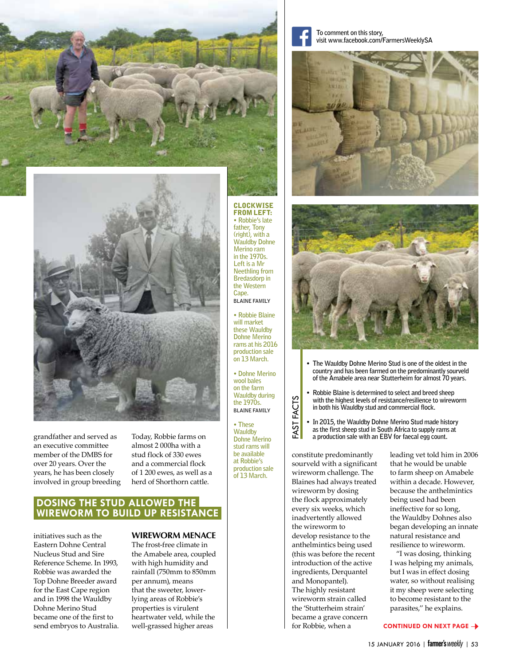

grandfather and served as an executive committee member of the DMBS for over 20 years. Over the years, he has been closely involved in group breeding

Today, Robbie farms on almost 2 000ha with a stud flock of 330 ewes and a commercial flock of 1 200 ewes, as well as a herd of Shorthorn cattle.

## **Dosing the stud allowed the wireworm to build up resistance**

initiatives such as the Eastern Dohne Central Nucleus Stud and Sire Reference Scheme. In 1993, Robbie was awarded the Top Dohne Breeder award for the East Cape region and in 1998 the Wauldby Dohne Merino Stud became one of the first to send embryos to Australia.

#### **wireworm menace**

The frost-free climate in the Amabele area, coupled with high humidity and rainfall (750mm to 850mm per annum), means that the sweeter, lowerlying areas of Robbie's properties is virulent heartwater veld, while the well-grassed higher areas

**To comment on this story, visit www.facebook.com/FarmersWeeklySA**





- **The Wauldby Dohne Merino Stud is one of the oldest in the country and has been farmed on the predominantly sourveld of the Amabele area near Stutterheim for almost 70 years.**
- **Robbie Blaine is determined to select and breed sheep with the highest levels of resistance/resilience to wireworm in both his Wauldby stud and commercial flock.**
- **In 2015, the Wauldby Dohne Merino Stud made history as the first sheep stud in South Africa to supply rams at a production sale with an EBV for faecal egg count.**

constitute predominantly sourveld with a significant wireworm challenge. The Blaines had always treated wireworm by dosing the flock approximately every six weeks, which inadvertently allowed the wireworm to develop resistance to the anthelmintics being used (this was before the recent introduction of the active ingredients, Derquantel and Monopantel). The highly resistant wireworm strain called the 'Stutterheim strain' became a grave concern for Robbie, when a

leading vet told him in 2006 that he would be unable to farm sheep on Amabele within a decade. However, because the anthelmintics being used had been ineffective for so long, the Wauldby Dohnes also began developing an innate natural resistance and resilience to wireworm.

"I was dosing, thinking I was helping my animals, but I was in effect dosing water, so without realising it my sheep were selecting to become resistant to the parasites,'' he explains.

#### **continued on next page**



**Blaine family**

**will market these Wauldby Dohne Merino rams at his 2016 production sale on 13March.**

**• Dohne Merino wool bales on the farm Wauldby during the 1970s. Blaine family**

Fast Facts

FAST I

**FACTS** 

**• These Wauldby Dohne Merino stud rams will be available at Robbie's production sale of 13March.**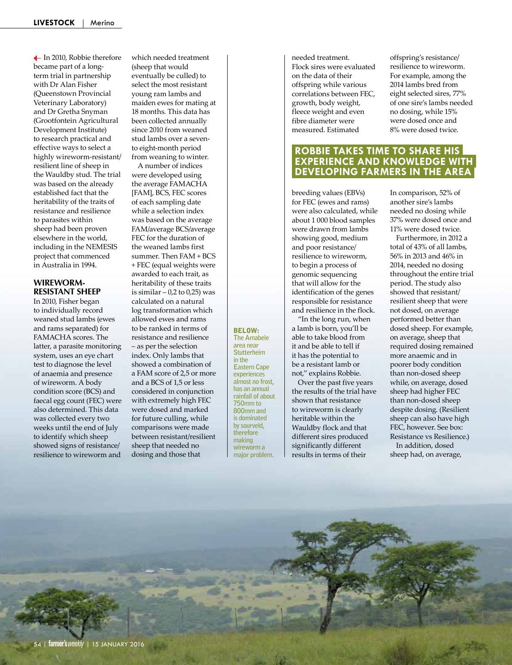In 2010, Robbie therefore became part of a longterm trial in partnership with Dr Alan Fisher (Queenstown Provincial Veterinary Laboratory) and Dr Gretha Snyman (Grootfontein Agricultural Development Institute) to research practical and effective ways to select a highly wireworm-resistant/ resilient line of sheep in the Wauldby stud. The trial was based on the already established fact that the heritability of the traits of resistance and resilience to parasites within sheep had been proven elsewhere in the world, including in the NEMESIS project that commenced in Australia in 1994.

#### **wirewormresistant sheep**

In 2010, Fisher began to individually record weaned stud lambs (ewes and rams separated) for FAMACHA scores. The latter, a parasite monitoring system, uses an eye chart test to diagnose the level of anaemia and presence of wireworm. A body condition score (BCS) and faecal egg count (FEC) were also determined. This data was collected every two weeks until the end of July to identify which sheep showed signs of resistance/ resilience to wireworm and

which needed treatment (sheep that would eventually be culled) to select the most resistant young ram lambs and maiden ewes for mating at 18 months. This data has been collected annually since 2010 from weaned stud lambs over a sevento eight-month period from weaning to winter.

A number of indices were developed using the average FAMACHA [FAM], BCS, FEC scores of each sampling date while a selection index was based on the average FAM/average BCS/average FEC for the duration of the weaned lambs first summer. Then FAM + BCS + FEC (equal weights were awarded to each trait, as heritability of these traits is similar  $-0.2$  to  $0.25$ ) was calculated on a natural log transformation which allowed ewes and rams to be ranked in terms of resistance and resilience – as per the selection index. Only lambs that showed a combination of a FAM score of 2,5 or more and a BCS of 1,5 or less considered in conjunction with extremely high FEC were dosed and marked for future culling, while comparisons were made

between resistant/resilient sheep that needed no dosing and those that

**area near Stutterheim in the Eastern Cape experiences almost no frost, has an annual rainfall of about 750mm to 800mm and is dominated by sourveld,** 

**therefore making wireworm a major problem.** 

BELOW: **The Amabele**  needed treatment. Flock sires were evaluated on the data of their offspring while various correlations between FEC, growth, body weight, fleece weight and even fibre diameter were measured. Estimated

offspring's resistance/ resilience to wireworm. For example, among the 2014 lambs bred from eight selected sires, 77% of one sire's lambs needed no dosing, while 15% were dosed once and 8% were dosed twice.

## **Robbie takes time to share his experience and knowledge with developing farmers in the area**

breeding values (EBVs) for FEC (ewes and rams) were also calculated, while about 1 000 blood samples were drawn from lambs showing good, medium and poor resistance/ resilience to wireworm, to begin a process of genomic sequencing that will allow for the identification of the genes responsible for resistance and resilience in the flock.

"In the long run, when a lamb is born, you'll be able to take blood from it and be able to tell if it has the potential to be a resistant lamb or not,'' explains Robbie.

Over the past five years the results of the trial have shown that resistance to wireworm is clearly heritable within the Wauldby flock and that different sires produced significantly different results in terms of their

In comparison, 52% of another sire's lambs needed no dosing while 37% were dosed once and 11% were dosed twice.

Furthermore, in 2012 a total of 43% of all lambs, 56% in 2013 and 46% in 2014, needed no dosing throughout the entire trial period. The study also showed that resistant/ resilient sheep that were not dosed, on average performed better than dosed sheep. For example, on average, sheep that required dosing remained more anaemic and in poorer body condition than non-dosed sheep while, on average, dosed sheep had higher FEC than non-dosed sheep despite dosing. (Resilient sheep can also have high FEC, however. See box: Resistance vs Resilience.) In addition, dosed sheep had, on average,